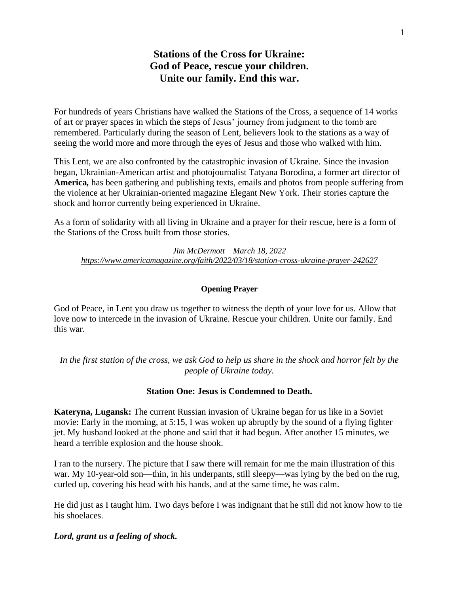# **Stations of the Cross for Ukraine: God of Peace, rescue your children. Unite our family. End this war.**

For hundreds of years Christians have walked the Stations of the Cross, a sequence of 14 works of art or prayer spaces in which the steps of Jesus' journey from judgment to the tomb are remembered. Particularly during the season of Lent, believers look to the stations as a way of seeing the world more and more through the eyes of Jesus and those who walked with him.

This Lent, we are also confronted by the catastrophic invasion of Ukraine. Since the invasion began, Ukrainian-American artist and photojournalist Tatyana Borodina, a former art director of **America***,* has been gathering and publishing texts, emails and photos from people suffering from the violence at her Ukrainian-oriented magazine [Elegant New York.](http://elegantnewyork.com/) Their stories capture the shock and horror currently being experienced in Ukraine.

As a form of solidarity with all living in Ukraine and a prayer for their rescue, here is a form of the Stations of the Cross built from those stories.

*Jim McDermott March 18, 2022 <https://www.americamagazine.org/faith/2022/03/18/station-cross-ukraine-prayer-242627>*

### **Opening Prayer**

God of Peace, in Lent you draw us together to witness the depth of your love for us. Allow that love now to intercede in the invasion of Ukraine. Rescue your children. Unite our family. End this war.

*In the first station of the cross, we ask God to help us share in the shock and horror felt by the people of Ukraine today.*

### **Station One: Jesus is Condemned to Death.**

**Kateryna, Lugansk:** The current Russian invasion of Ukraine began for us like in a Soviet movie: Early in the morning, at 5:15, I was woken up abruptly by the sound of a flying fighter jet. My husband looked at the phone and said that it had begun. After another 15 minutes, we heard a terrible explosion and the house shook.

I ran to the nursery. The picture that I saw there will remain for me the main illustration of this war. My 10-year-old son—thin, in his underpants, still sleepy—was lying by the bed on the rug, curled up, covering his head with his hands, and at the same time, he was calm.

He did just as I taught him. Two days before I was indignant that he still did not know how to tie his shoelaces.

### *Lord, grant us a feeling of shock.*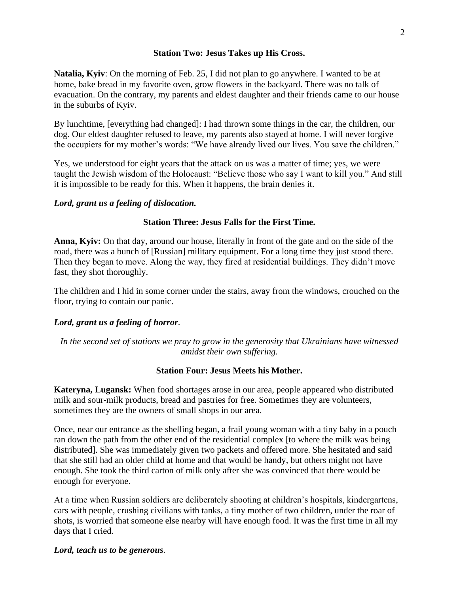# **Station Two: Jesus Takes up His Cross.**

**Natalia, Kyiv**: On the morning of Feb. 25, I did not plan to go anywhere. I wanted to be at home, bake bread in my favorite oven, grow flowers in the backyard. There was no talk of evacuation. On the contrary, my parents and eldest daughter and their friends came to our house in the suburbs of Kyiv.

By lunchtime, [everything had changed]: I had thrown some things in the car, the children, our dog. Our eldest daughter refused to leave, my parents also stayed at home. I will never forgive the occupiers for my mother's words: "We have already lived our lives. You save the children."

Yes, we understood for eight years that the attack on us was a matter of time; yes, we were taught the Jewish wisdom of the Holocaust: "Believe those who say I want to kill you." And still it is impossible to be ready for this. When it happens, the brain denies it.

### *Lord, grant us a feeling of dislocation.*

### **Station Three: Jesus Falls for the First Time.**

**Anna, Kyiv:** On that day, around our house, literally in front of the gate and on the side of the road, there was a bunch of [Russian] military equipment. For a long time they just stood there. Then they began to move. Along the way, they fired at residential buildings. They didn't move fast, they shot thoroughly.

The children and I hid in some corner under the stairs, away from the windows, crouched on the floor, trying to contain our panic.

# *Lord, grant us a feeling of horror.*

*In the second set of stations we pray to grow in the generosity that Ukrainians have witnessed amidst their own suffering.*

### **Station Four: Jesus Meets his Mother.**

**Kateryna, Lugansk:** When food shortages arose in our area, people appeared who distributed milk and sour-milk products, bread and pastries for free. Sometimes they are volunteers, sometimes they are the owners of small shops in our area.

Once, near our entrance as the shelling began, a frail young woman with a tiny baby in a pouch ran down the path from the other end of the residential complex [to where the milk was being distributed]. She was immediately given two packets and offered more. She hesitated and said that she still had an older child at home and that would be handy, but others might not have enough. She took the third carton of milk only after she was convinced that there would be enough for everyone.

At a time when Russian soldiers are deliberately shooting at children's hospitals, kindergartens, cars with people, crushing civilians with tanks, a tiny mother of two children, under the roar of shots, is worried that someone else nearby will have enough food. It was the first time in all my days that I cried.

### *Lord, teach us to be generous.*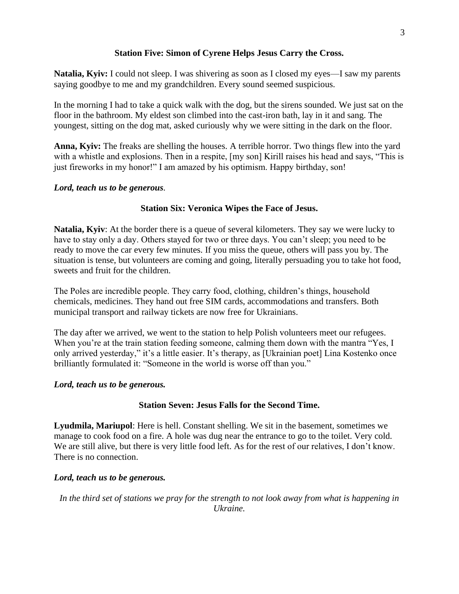# **Station Five: Simon of Cyrene Helps Jesus Carry the Cross.**

**Natalia, Kyiv:** I could not sleep. I was shivering as soon as I closed my eyes—I saw my parents saying goodbye to me and my grandchildren. Every sound seemed suspicious.

In the morning I had to take a quick walk with the dog, but the sirens sounded. We just sat on the floor in the bathroom. My eldest son climbed into the cast-iron bath, lay in it and sang. The youngest, sitting on the dog mat, asked curiously why we were sitting in the dark on the floor.

**Anna, Kyiv:** The freaks are shelling the houses. A terrible horror. Two things flew into the yard with a whistle and explosions. Then in a respite, [my son] Kirill raises his head and says, "This is just fireworks in my honor!" I am amazed by his optimism. Happy birthday, son!

# *Lord, teach us to be generous.*

# **Station Six: Veronica Wipes the Face of Jesus.**

**Natalia, Kyiv**: At the border there is a queue of several kilometers. They say we were lucky to have to stay only a day. Others stayed for two or three days. You can't sleep; you need to be ready to move the car every few minutes. If you miss the queue, others will pass you by. The situation is tense, but volunteers are coming and going, literally persuading you to take hot food, sweets and fruit for the children.

The Poles are incredible people. They carry food, clothing, children's things, household chemicals, medicines. They hand out free SIM cards, accommodations and transfers. Both municipal transport and railway tickets are now free for Ukrainians.

The day after we arrived, we went to the station to help Polish volunteers meet our refugees. When you're at the train station feeding someone, calming them down with the mantra "Yes, I only arrived yesterday," it's a little easier. It's therapy, as [Ukrainian poet] Lina Kostenko once brilliantly formulated it: "Someone in the world is worse off than you."

# *Lord, teach us to be generous.*

# **Station Seven: Jesus Falls for the Second Time.**

**Lyudmila, Mariupol**: Here is hell. Constant shelling. We sit in the basement, sometimes we manage to cook food on a fire. A hole was dug near the entrance to go to the toilet. Very cold. We are still alive, but there is very little food left. As for the rest of our relatives, I don't know. There is no connection.

# *Lord, teach us to be generous.*

*In the third set of stations we pray for the strength to not look away from what is happening in Ukraine.*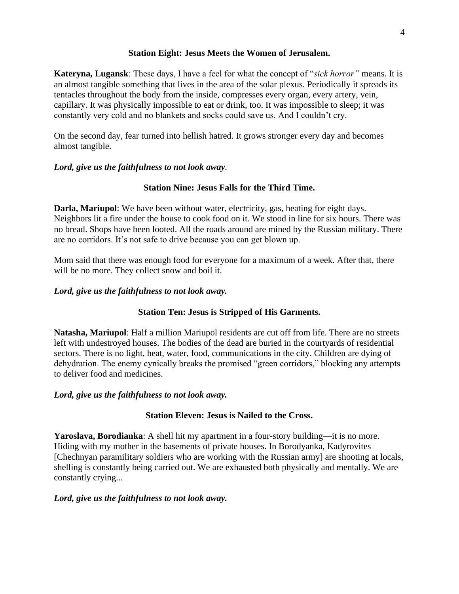# **Station Eight: Jesus Meets the Women of Jerusalem.**

**Kateryna, Lugansk**: These days, I have a feel for what the concept of "*sick horror"* means. It is an almost tangible something that lives in the area of the solar plexus. Periodically it spreads its tentacles throughout the body from the inside, compresses every organ, every artery, vein, capillary. It was physically impossible to eat or drink, too. It was impossible to sleep; it was constantly very cold and no blankets and socks could save us. And I couldn't cry.

On the second day, fear turned into hellish hatred. It grows stronger every day and becomes almost tangible.

# *Lord, give us the faithfulness to not look away.*

# **Station Nine: Jesus Falls for the Third Time.**

**Darla, Mariupol**: We have been without water, electricity, gas, heating for eight days. Neighbors lit a fire under the house to cook food on it. We stood in line for six hours. There was no bread. Shops have been looted. All the roads around are mined by the Russian military. There are no corridors. It's not safe to drive because you can get blown up.

Mom said that there was enough food for everyone for a maximum of a week. After that, there will be no more. They collect snow and boil it.

# *Lord, give us the faithfulness to not look away.*

# **Station Ten: Jesus is Stripped of His Garments.**

**Natasha, Mariupol**: Half a million Mariupol residents are cut off from life. There are no streets left with undestroyed houses. The bodies of the dead are buried in the courtyards of residential sectors. There is no light, heat, water, food, communications in the city. Children are dying of dehydration. The enemy cynically breaks the promised "green corridors," blocking any attempts to deliver food and medicines.

# *Lord, give us the faithfulness to not look away.*

# **Station Eleven: Jesus is Nailed to the Cross.**

**Yaroslava, Borodianka**: A shell hit my apartment in a four-story building—it is no more. Hiding with my mother in the basements of private houses. In Borodyanka, Kadyrovites [Chechnyan paramilitary soldiers who are working with the Russian army] are shooting at locals, shelling is constantly being carried out. We are exhausted both physically and mentally. We are constantly crying...

# *Lord, give us the faithfulness to not look away.*